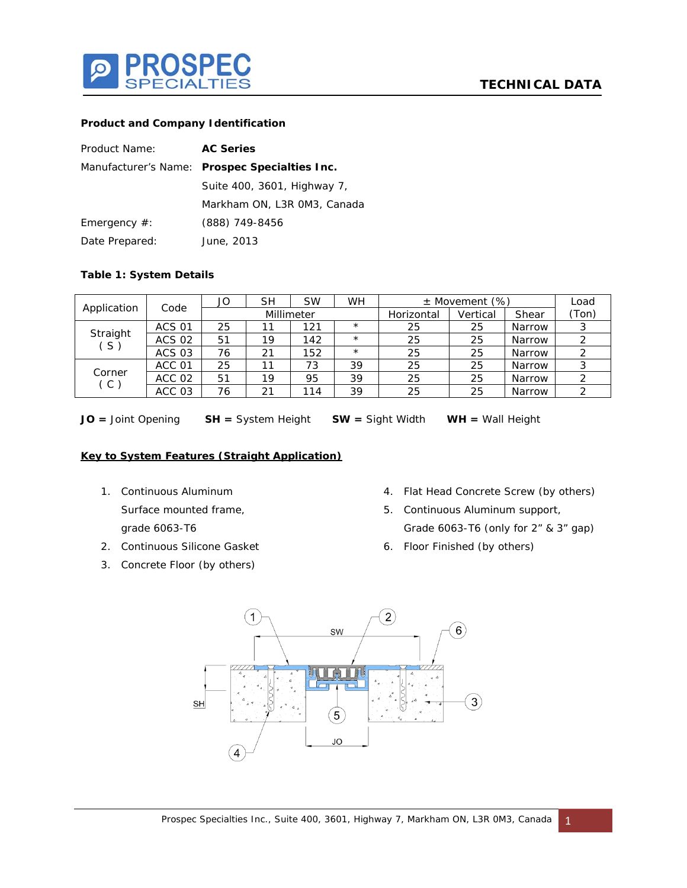

## **Product and Company Identification**

| Product Name:   | <b>AC Series</b>                              |  |  |  |  |
|-----------------|-----------------------------------------------|--|--|--|--|
|                 | Manufacturer's Name: Prospec Specialties Inc. |  |  |  |  |
|                 | Suite 400, 3601, Highway 7,                   |  |  |  |  |
|                 | Markham ON, L3R OM3, Canada                   |  |  |  |  |
| Emergency $#$ : | (888) 749-8456                                |  |  |  |  |
| Date Prepared:  | June, 2013                                    |  |  |  |  |

## **Table 1: System Details**

|                        | Code          | JO         | <b>SH</b> | <b>SW</b> | <b>WH</b>  |          | $\pm$ Movement (%) |        | Load |  |  |
|------------------------|---------------|------------|-----------|-----------|------------|----------|--------------------|--------|------|--|--|
| Application            |               | Millimeter |           |           | Horizontal | Vertical | Shear              | (Ton)  |      |  |  |
| Straight<br>$\zeta$ S, | <b>ACS 01</b> | 25         |           | 121       | $\star$    | 25       | 25                 | Narrow |      |  |  |
|                        | <b>ACS 02</b> | 51         | 19        | 142       | $\star$    | 25       | 25                 | Narrow |      |  |  |
|                        | <b>ACS 03</b> | 76         | 21        | 152       | $\star$    | 25       | 25                 | Narrow |      |  |  |
| Corner<br>(C)          | ACC 01        | 25         |           | 73        | 39         | 25       | 25                 | Narrow |      |  |  |
|                        | ACC 02        | 51         | 19        | 95        | 39         | 25       | 25                 | Narrow |      |  |  |
|                        | ACC 03        | 76         | 21        | 114       | 39         | 25       | 25                 | Narrow |      |  |  |

**JO =** Joint Opening **SH =** System Height **SW =** Sight Width **WH =** Wall Height

## **Key to System Features (Straight Application)**

- 1. Continuous Aluminum Surface mounted frame, grade 6063-T6
- 2. Continuous Silicone Gasket
- 3. Concrete Floor (by others)
- 4. Flat Head Concrete Screw (by others)
- 5. Continuous Aluminum support, Grade 6063-T6 (only for 2" & 3" gap)
- 6. Floor Finished (by others)